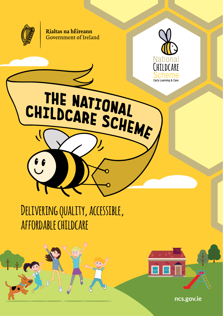

Rialtas na hÉireann Government of Ireland



**Delivering quality, accessible, affordable childcare**

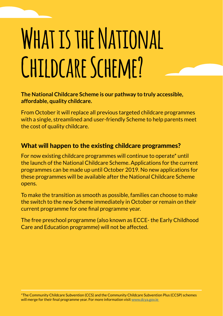# **What is the National Childcare Scheme?**

#### **The National Childcare Scheme is our pathway to truly accessible, affordable, quality childcare.**

From October it will replace all previous targeted childcare programmes with a single, streamlined and user-friendly Scheme to help parents meet the cost of quality childcare.

#### What will happen to the existing childcare programmes?

For now existing childcare programmes will continue to operate\* until the launch of the National Childcare Scheme. Applications for the current programmes can be made up until October 2019. No new applications for these programmes will be available after the National Childcare Scheme opens.

To make the transition as smooth as possible, families can choose to make the switch to the new Scheme immediately in October or remain on their current programme for one final programme year.

The free preschool programme (also known as ECCE- the Early Childhood Care and Education programme) will not be affected.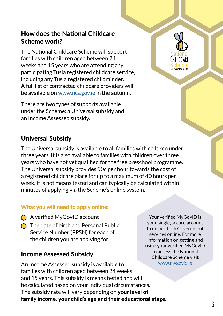### How does the National Childcare Scheme work?

The National Childcare Scheme will support families with children aged between 24 weeks and 15 years who are attending any participating Tusla registered childcare service, including any Tusla registered childminder. A full list of contracted childcare providers will be available on www.ncs.gov.ie in the autumn.

There are two types of supports available under the Scheme: a Universal subsidy and an Income Assessed subsidy.

### Universal Subsidy

The Universal subsidy is available to all families with children under three years. It is also available to families with children over three years who have not yet qualified for the free preschool programme. The Universal subsidy provides 50c per hour towards the cost of a registered childcare place for up to a maximum of 40 hours per week. It is not means tested and can typically be calculated within minutes of applying via the Scheme's online system.

#### What you will need to apply online:

- A verified MyGovID account
- $\bigcap$  The date of birth and Personal Public Service Number (PPSN) for each of the children you are applying for

#### Income Assessed Subsidy

An Income Assessed subsidy is available to families with children aged between 24 weeks and 15 years. This subsidy is means tested and will be calculated based on your individual circumstances. The subsidy rate will vary depending on **your level of** family income, your child's age and their educational stage.

Your verified MyGovID is your single, secure account to unlock Irish Government services online. For more information on getting and using your verified MyGovID to access the National Childcare Scheme visit www.mygovid.ie

Farly Learning & Care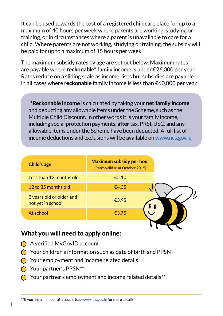It can be used towards the cost of a registered childcare place for up to a maximum of 40 hours per week where parents are working, studying or training, or in circumstances where a parent is unavailable to care for a child. Where parents are not working, studying or training, the subsidy will be paid for up to a maximum of 15 hours per week.

The maximum subsidy rates by age are set out below. Maximum rates are payable where reckonable\* family income is under  $\epsilon$ 26,000 per year. Rates reduce on a sliding scale as income rises but subsidies are payable in all cases where **reckonable** family income is less than €60,000 per year.

\*Reckonable income is calculated by taking your net family income and deducting any allowable items under the Scheme, such as the Multiple Child Discount. In other words it is your family income, including social protection payments, after tax, PRSI, USC, and any allowable items under the Scheme have been deducted. A full list of income deductions and exclusions will be available on www.ncs.gov.ie

| Less than 12 months old<br>€5.10<br>12 to 35 months old<br>€4.35<br>3 years old or older and<br>€3.95<br>not yet in school<br>At school<br>€3.75 | <b>Child's age</b> | <b>Maximum subsidy per hour</b><br>(Rates valid as at October 2019) |
|--------------------------------------------------------------------------------------------------------------------------------------------------|--------------------|---------------------------------------------------------------------|
|                                                                                                                                                  |                    |                                                                     |
|                                                                                                                                                  |                    |                                                                     |
|                                                                                                                                                  |                    |                                                                     |
|                                                                                                                                                  |                    |                                                                     |

#### What you will need to apply online:

- A verified MyGovID account
- Your children's information such as date of birth and PPSN
- Your employment and income related details
- Your partner's PPSN\*\*

**4**

Your partner's employment and income related details \*\*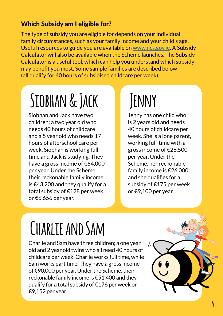### Which Subsidy am I eligible for?

The type of subsidy you are eligible for depends on your individual family circumstances, such as your family income and your child's age. Useful resources to guide you are available on www.ncs.gov.ie. A Subsidy Calculator will also be available when the Scheme launches. The Subsidy Calculator is a useful tool, which can help you understand which subsidy may benefit you most. Some sample families are described below (all qualify for 40 hours of subsidised childcare per week).

# **Siobhan & Jack**

Siobhan and Jack have two children; a two year old who needs 40 hours of childcare and a 5 year old who needs 17 hours of afterschool care per week. Siobhan is working full time and Jack is studying. They have a gross income of €64,000 per year. Under the Scheme, their reckonable family income is €43,200 and they qualify for a total subsidy of €128 per week or €6,656 per year.

# **Jenny**

Jenny has one child who is 2 years old and needs 40 hours of childcare per week. She is a lone parent, working full-time with a gross income of €26,500 per year. Under the Scheme, her reckonable family income is €26,000 and she qualifies for a subsidy of €175 per week or €9,100 per year.

# **Charlie and Sam**

Charlie and Sam have three children; a one year old and 2 year old twins who all need 40 hours of childcare per week. Charlie works full time, while Sam works part time. They have a gross income of €90,000 per year. Under the Scheme, their reckonable family income is €51,400 and they qualify for a total subsidy of €176 per week or €9,152 per year.

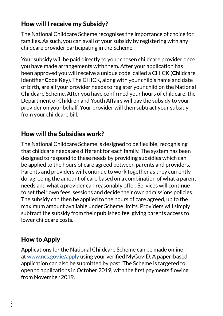### How will I receive my Subsidy?

The National Childcare Scheme recognises the importance of choice for families. As such, you can avail of your subsidy by registering with any childcare provider participating in the Scheme.

Your subsidy will be paid directly to your chosen childcare provider once you have made arrangements with them. After your application has been approved you will receive a unique code, called a CHICK (Childcare Identifier Code Key). The CHICK, along with your child's name and date of birth, are all your provider needs to register your child on the National Childcare Scheme. After you have confirmed your hours of childcare, the Department of Children and Youth Affairs will pay the subsidy to your provider on your behalf. Your provider will then subtract your subsidy from your childcare bill.

### How will the Subsidies work?

The National Childcare Scheme is designed to be flexible, recognising that childcare needs are different for each family. The system has been designed to respond to these needs by providing subsidies which can be applied to the hours of care agreed between parents and providers. Parents and providers will continue to work together as they currently do, agreeing the amount of care based on a combination of what a parent needs and what a provider can reasonably offer. Services will continue to set their own fees, sessions and decide their own admissions policies. The subsidy can then be applied to the hours of care agreed, up to the maximum amount available under Scheme limits. Providers will simply subtract the subsidy from their published fee, giving parents access to lower childcare costs.

## How to Apply

Applications for the National Childcare Scheme can be made online at www.ncs.gov.ie/apply using your verified MyGovID. A paper-based application can also be submitted by post. The Scheme is targeted to open to applications in October 2019, with the first payments flowing from November 2019.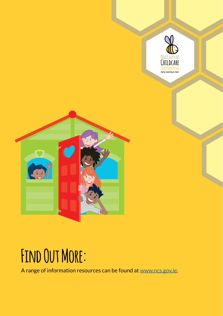

# **Find Out More:**

A range of information resources can be found at www.ncs.gov.ie.